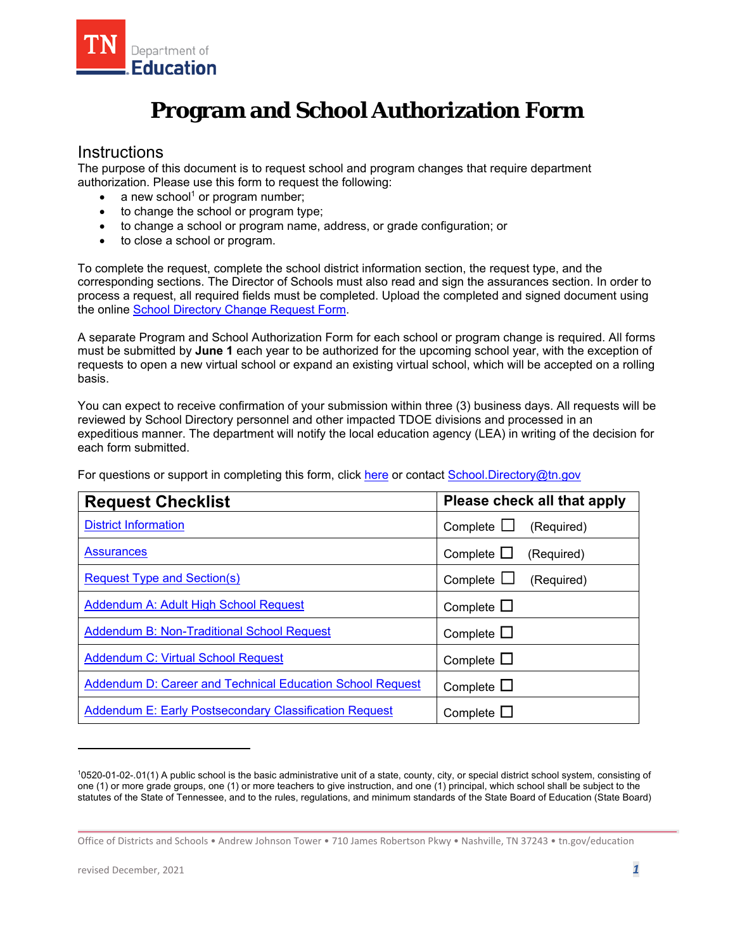

# **Program and School Authorization Form**

### **Instructions**

The purpose of this document is to request school and program changes that require department authorization. Please use this form to request the following:

- a new school $1$  or program number;
- to change the school or program type;
- to change a school or program name, address, or grade configuration; or
- to close a school or program.

To complete the request, complete the school district information section, the request type, and the corresponding sections. The Director of Schools must also read and sign the assurances section. In order to process a request, all required fields must be completed. Upload the completed and signed document using the online [School Directory Change Request Form.](https://stateoftennessee.formstack.com/forms/school_directory_change_request) 

A separate Program and School Authorization Form for each school or program change is required. All forms must be submitted by **June 1** each year to be authorized for the upcoming school year, with the exception of requests to open a new virtual school or expand an existing virtual school, which will be accepted on a rolling basis.

You can expect to receive confirmation of your submission within three (3) business days. All requests will be reviewed by School Directory personnel and other impacted TDOE divisions and processed in an expeditious manner. The department will notify the local education agency (LEA) in writing of the decision for each form submitted.

[District Information](#page-1-0) **District Information** Complete □ (Required)  $\frac{\text{Request Type and Section(s)}}{\text{Lengthed}}$  Complete  $\Box$  (Required) **Request Checklist Please check all that apply** [Assurances](#page-1-0) and Complete □ (Required) [Addendum A: Adult High School Request](#page-8-0) Complete □ [Addendum B: Non-Traditional School Request](#page-9-0) Complete □ [Addendum C: Virtual School Request](#page-12-0) Complete □ [Addendum D: Career and Technical Education School Request](#page-15-0) | Complete □ [Addendum E: Early Postsecondary Classification Request](#page-16-0) | Complete □

For questions or support in completing this form, click [here](https://www.tn.gov/content/dam/tn/education/nonpublic/chtr_sch/School_Directory_Submission_Guidance.pdf) or contact School.Directory@tn.gov

<sup>1</sup> 0520-01-02-.01(1) A public school is the basic administrative unit of a state, county, city, or special district school system, consisting of one (1) or more grade groups, one (1) or more teachers to give instruction, and one (1) principal, which school shall be subject to the statutes of the State of Tennessee, and to the rules, regulations, and minimum standards of the State Board of Education (State Board)

Office of Districts and Schools • Andrew Johnson Tower • 710 James Robertson Pkwy • Nashville, TN 37243 • tn.gov/education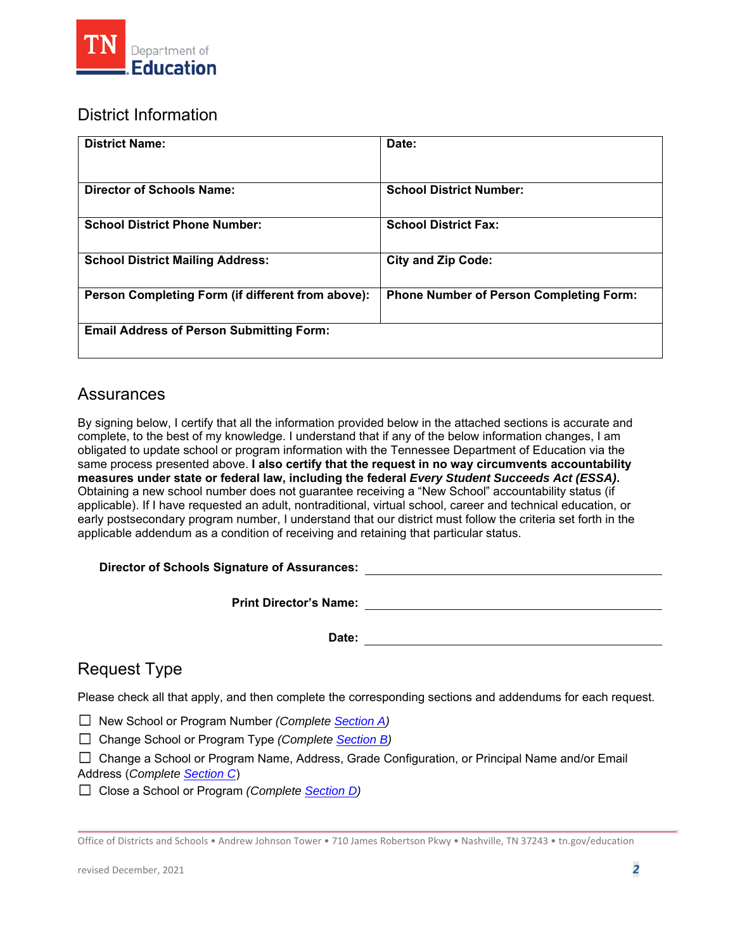<span id="page-1-0"></span>

## District Information

| <b>District Name:</b>                             | Date:                                          |
|---------------------------------------------------|------------------------------------------------|
| <b>Director of Schools Name:</b>                  | <b>School District Number:</b>                 |
| <b>School District Phone Number:</b>              | <b>School District Fax:</b>                    |
| <b>School District Mailing Address:</b>           | <b>City and Zip Code:</b>                      |
| Person Completing Form (if different from above): | <b>Phone Number of Person Completing Form:</b> |
| <b>Email Address of Person Submitting Form:</b>   |                                                |

### Assurances

By signing below, I certify that all the information provided below in the attached sections is accurate and complete, to the best of my knowledge. I understand that if any of the below information changes, I am obligated to update school or program information with the Tennessee Department of Education via the same process presented above. **I also certify that the request in no way circumvents accountability measures under state or federal law, including the federal** *Every Student Succeeds Act (ESSA)***.**  Obtaining a new school number does not guarantee receiving a "New School" accountability status (if applicable). If I have requested an adult, nontraditional, virtual school, career and technical education, or early postsecondary program number, I understand that our district must follow the criteria set forth in the applicable addendum as a condition of receiving and retaining that particular status.

#### **Director of Schools Signature of Assurances:**

**Print Director's Name:** 

Date: <u>\_\_\_\_\_\_\_\_\_\_\_\_\_\_\_\_\_\_\_\_\_\_\_\_\_\_\_\_\_</u>

## Request Type

Please check all that apply, and then complete the corresponding sections and addendums for each request.

☐ New School or Program Number *(Complete [Section A\)](#page-2-0)* 

☐ Change School or Program Type *(Complete [Section B\)](#page-4-0)* 

☐ Change a School or Program Name, Address, Grade Configuration, or Principal Name and/or Email Address (*Complete [Section C](#page-5-0)*)

☐ Close a School or Program *(Complete [Section D\)](#page-7-0)*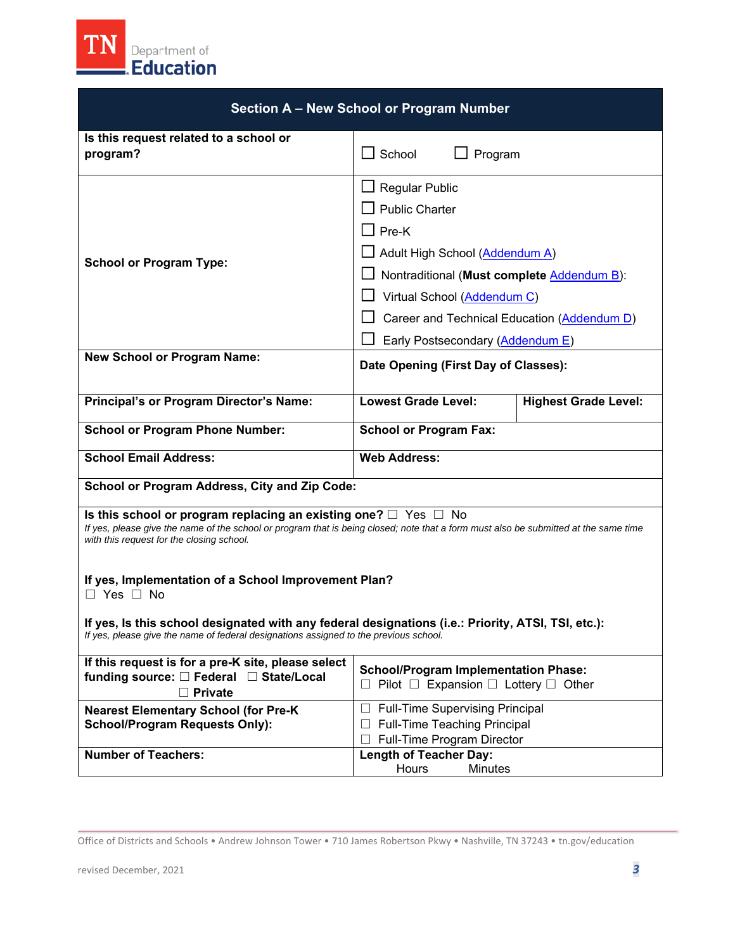<span id="page-2-0"></span>

| Section A - New School or Program Number                                                                                                                                                                                                                                                                                                                                                                                                                                                                                                      |                                                                                                                                                                                                                                                                     |                             |
|-----------------------------------------------------------------------------------------------------------------------------------------------------------------------------------------------------------------------------------------------------------------------------------------------------------------------------------------------------------------------------------------------------------------------------------------------------------------------------------------------------------------------------------------------|---------------------------------------------------------------------------------------------------------------------------------------------------------------------------------------------------------------------------------------------------------------------|-----------------------------|
| Is this request related to a school or<br>program?                                                                                                                                                                                                                                                                                                                                                                                                                                                                                            | $\Box$ School<br>Program                                                                                                                                                                                                                                            |                             |
| <b>School or Program Type:</b>                                                                                                                                                                                                                                                                                                                                                                                                                                                                                                                | $\Box$ Regular Public<br><b>Public Charter</b><br>$\square$ Pre-K<br>Adult High School (Addendum A)<br>Nontraditional (Must complete Addendum B):<br>Virtual School (Addendum C)<br>Career and Technical Education (Addendum D)<br>Early Postsecondary (Addendum E) |                             |
| <b>New School or Program Name:</b>                                                                                                                                                                                                                                                                                                                                                                                                                                                                                                            | Date Opening (First Day of Classes):                                                                                                                                                                                                                                |                             |
| Principal's or Program Director's Name:                                                                                                                                                                                                                                                                                                                                                                                                                                                                                                       | <b>Lowest Grade Level:</b>                                                                                                                                                                                                                                          | <b>Highest Grade Level:</b> |
| <b>School or Program Phone Number:</b>                                                                                                                                                                                                                                                                                                                                                                                                                                                                                                        | <b>School or Program Fax:</b>                                                                                                                                                                                                                                       |                             |
| <b>School Email Address:</b>                                                                                                                                                                                                                                                                                                                                                                                                                                                                                                                  | <b>Web Address:</b>                                                                                                                                                                                                                                                 |                             |
| School or Program Address, City and Zip Code:                                                                                                                                                                                                                                                                                                                                                                                                                                                                                                 |                                                                                                                                                                                                                                                                     |                             |
| Is this school or program replacing an existing one? $\Box$ Yes $\Box$ No<br>If yes, please give the name of the school or program that is being closed; note that a form must also be submitted at the same time<br>with this request for the closing school.<br>If yes, Implementation of a School Improvement Plan?<br>$\Box$ Yes $\Box$ No<br>If yes, Is this school designated with any federal designations (i.e.: Priority, ATSI, TSI, etc.):<br>If yes, please give the name of federal designations assigned to the previous school. |                                                                                                                                                                                                                                                                     |                             |
| If this request is for a pre-K site, please select<br>funding source: □ Federal □ State/Local<br><b>Private</b><br>П                                                                                                                                                                                                                                                                                                                                                                                                                          | <b>School/Program Implementation Phase:</b><br>$\Box$ Pilot $\Box$ Expansion $\Box$ Lottery $\Box$ Other                                                                                                                                                            |                             |
| <b>Nearest Elementary School (for Pre-K</b><br><b>School/Program Requests Only):</b><br><b>Number of Teachers:</b>                                                                                                                                                                                                                                                                                                                                                                                                                            | <b>Full-Time Supervising Principal</b><br>Full-Time Teaching Principal<br>⊔<br>Full-Time Program Director<br><b>Length of Teacher Day:</b>                                                                                                                          |                             |
|                                                                                                                                                                                                                                                                                                                                                                                                                                                                                                                                               | Hours<br><b>Minutes</b>                                                                                                                                                                                                                                             |                             |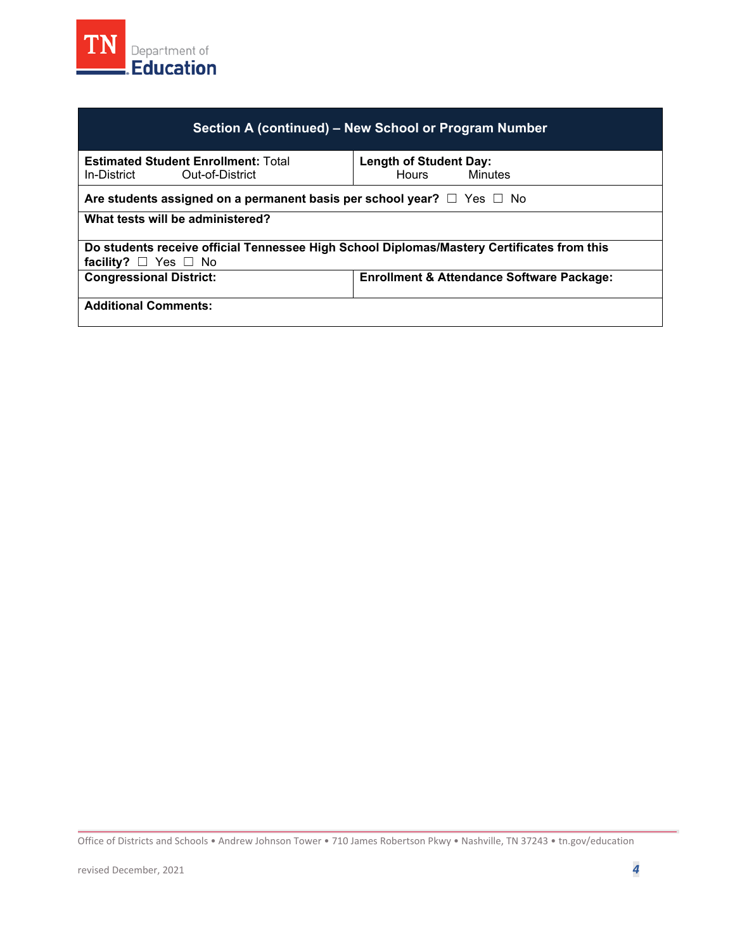

| Section A (continued) – New School or Program Number                                                                         |                                                          |  |
|------------------------------------------------------------------------------------------------------------------------------|----------------------------------------------------------|--|
| <b>Estimated Student Enrollment: Total</b><br>Out-of-District<br>In-District                                                 | <b>Length of Student Day:</b><br>Minutes<br><b>Hours</b> |  |
| Are students assigned on a permanent basis per school year? $\Box$ Yes $\Box$ No                                             |                                                          |  |
| What tests will be administered?                                                                                             |                                                          |  |
| Do students receive official Tennessee High School Diplomas/Mastery Certificates from this<br>facility? $\Box$ Yes $\Box$ No |                                                          |  |
| <b>Congressional District:</b><br><b>Enrollment &amp; Attendance Software Package:</b>                                       |                                                          |  |
| <b>Additional Comments:</b>                                                                                                  |                                                          |  |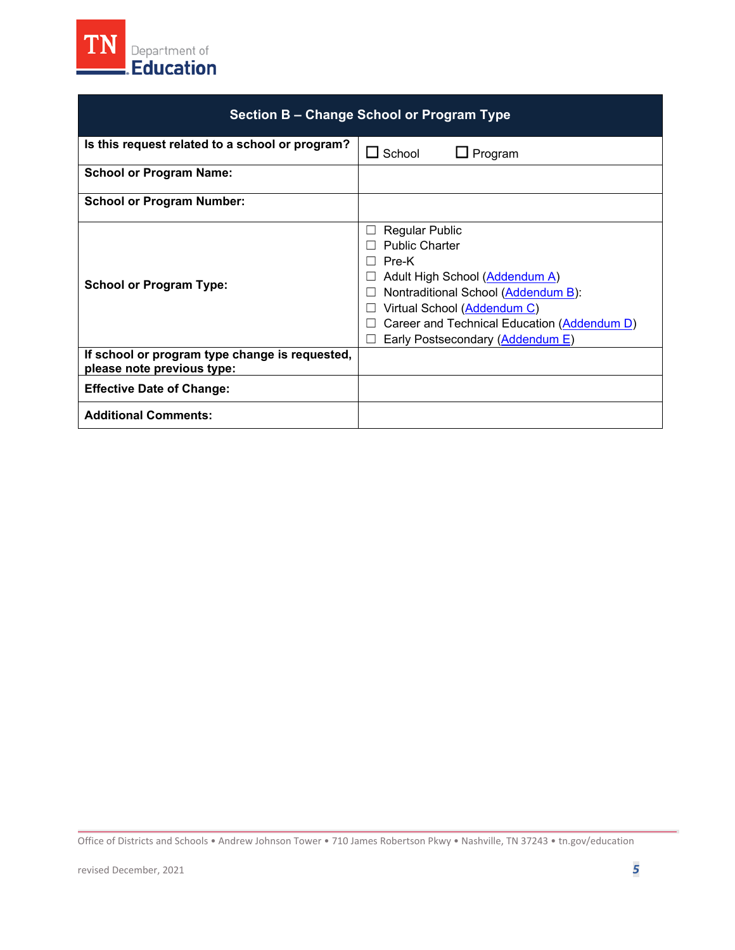<span id="page-4-0"></span>

| Section B – Change School or Program Type                                    |                                                                                                                                                                                                                                                                    |
|------------------------------------------------------------------------------|--------------------------------------------------------------------------------------------------------------------------------------------------------------------------------------------------------------------------------------------------------------------|
| Is this request related to a school or program?                              | $\Box$ School<br>Program                                                                                                                                                                                                                                           |
| <b>School or Program Name:</b>                                               |                                                                                                                                                                                                                                                                    |
| <b>School or Program Number:</b>                                             |                                                                                                                                                                                                                                                                    |
| <b>School or Program Type:</b>                                               | <b>Regular Public</b><br><b>Public Charter</b><br>Pre-K<br>$\mathsf{L}$<br>Adult High School (Addendum A)<br>Nontraditional School (Addendum B):<br>Virtual School (Addendum C)<br>Career and Technical Education (Addendum D)<br>Early Postsecondary (Addendum E) |
| If school or program type change is requested,<br>please note previous type: |                                                                                                                                                                                                                                                                    |
| <b>Effective Date of Change:</b>                                             |                                                                                                                                                                                                                                                                    |
| <b>Additional Comments:</b>                                                  |                                                                                                                                                                                                                                                                    |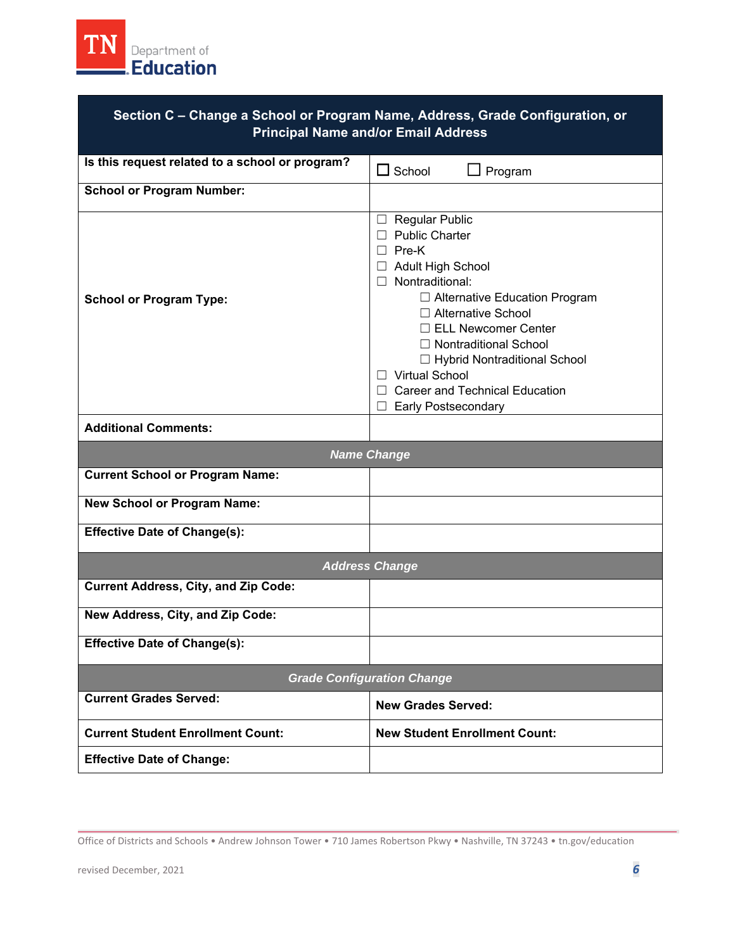<span id="page-5-0"></span>

| Section C - Change a School or Program Name, Address, Grade Configuration, or<br><b>Principal Name and/or Email Address</b> |                                                                                                                                                                                                                                                                                                                                                                       |  |
|-----------------------------------------------------------------------------------------------------------------------------|-----------------------------------------------------------------------------------------------------------------------------------------------------------------------------------------------------------------------------------------------------------------------------------------------------------------------------------------------------------------------|--|
| Is this request related to a school or program?                                                                             | $\Box$ School<br>$\Box$ Program                                                                                                                                                                                                                                                                                                                                       |  |
| <b>School or Program Number:</b>                                                                                            |                                                                                                                                                                                                                                                                                                                                                                       |  |
| <b>School or Program Type:</b>                                                                                              | $\Box$ Regular Public<br>$\Box$ Public Charter<br>$\Box$ Pre-K<br>□ Adult High School<br>$\Box$ Nontraditional:<br>□ Alternative Education Program<br>□ Alternative School<br>$\Box$ ELL Newcomer Center<br>$\Box$ Nontraditional School<br>□ Hybrid Nontraditional School<br>□ Virtual School<br><b>Career and Technical Education</b><br><b>Early Postsecondary</b> |  |
| <b>Additional Comments:</b>                                                                                                 |                                                                                                                                                                                                                                                                                                                                                                       |  |
| <b>Name Change</b>                                                                                                          |                                                                                                                                                                                                                                                                                                                                                                       |  |
| <b>Current School or Program Name:</b>                                                                                      |                                                                                                                                                                                                                                                                                                                                                                       |  |
| <b>New School or Program Name:</b>                                                                                          |                                                                                                                                                                                                                                                                                                                                                                       |  |
| <b>Effective Date of Change(s):</b>                                                                                         |                                                                                                                                                                                                                                                                                                                                                                       |  |
|                                                                                                                             | <b>Address Change</b>                                                                                                                                                                                                                                                                                                                                                 |  |
| <b>Current Address, City, and Zip Code:</b>                                                                                 |                                                                                                                                                                                                                                                                                                                                                                       |  |
| New Address, City, and Zip Code:                                                                                            |                                                                                                                                                                                                                                                                                                                                                                       |  |
| <b>Effective Date of Change(s):</b>                                                                                         |                                                                                                                                                                                                                                                                                                                                                                       |  |
|                                                                                                                             | <b>Grade Configuration Change</b>                                                                                                                                                                                                                                                                                                                                     |  |
| <b>Current Grades Served:</b>                                                                                               | <b>New Grades Served:</b>                                                                                                                                                                                                                                                                                                                                             |  |
| <b>Current Student Enrollment Count:</b>                                                                                    | <b>New Student Enrollment Count:</b>                                                                                                                                                                                                                                                                                                                                  |  |
| <b>Effective Date of Change:</b>                                                                                            |                                                                                                                                                                                                                                                                                                                                                                       |  |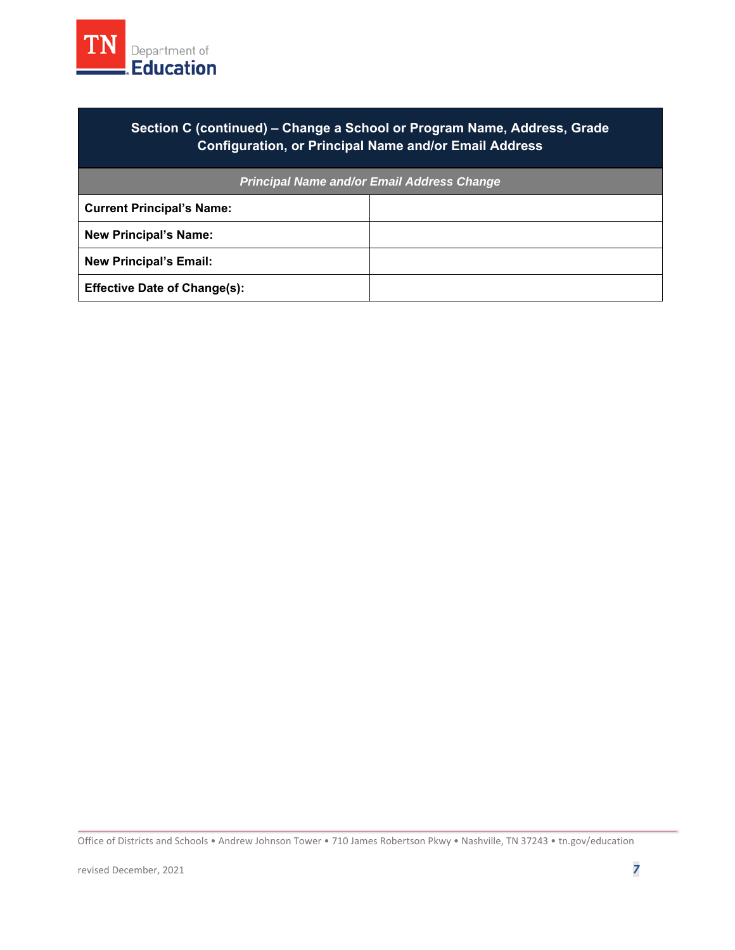

### **Section C (continued) – Change a School or Program Name, Address, Grade Configuration, or Principal Name and/or Email Address**

| <b>Principal Name and/or Email Address Change</b> |  |
|---------------------------------------------------|--|
| <b>Current Principal's Name:</b>                  |  |
| <b>New Principal's Name:</b>                      |  |
| <b>New Principal's Email:</b>                     |  |
| <b>Effective Date of Change(s):</b>               |  |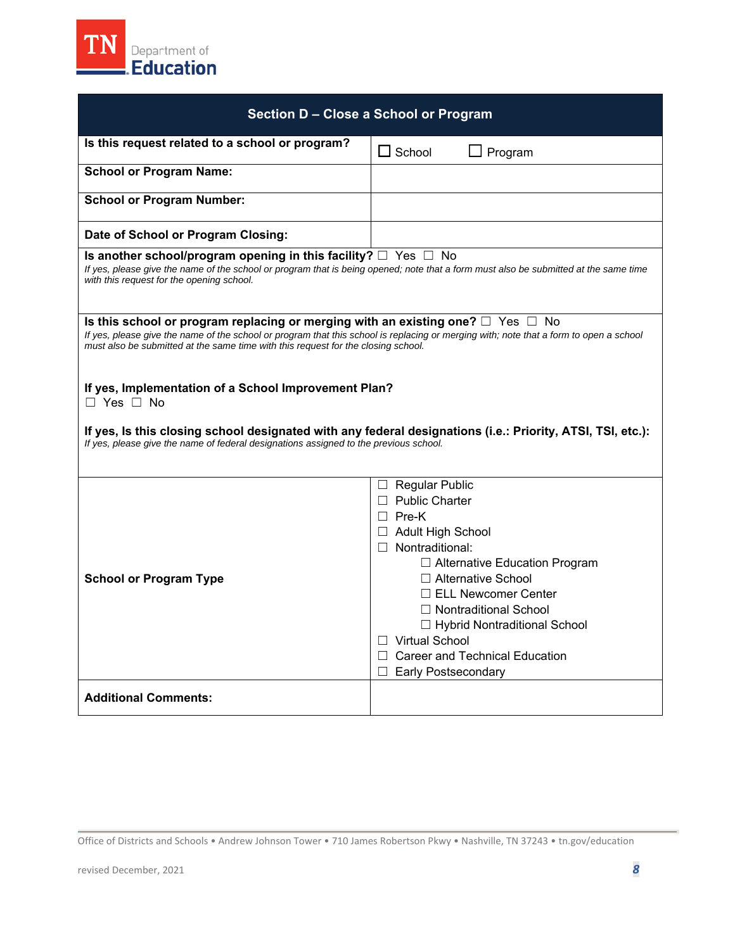<span id="page-7-0"></span>

| Section D - Close a School or Program                                                                                                                                                                                                                                                                                    |                                                                                                                                                                                                                                                                                                                                                                       |  |
|--------------------------------------------------------------------------------------------------------------------------------------------------------------------------------------------------------------------------------------------------------------------------------------------------------------------------|-----------------------------------------------------------------------------------------------------------------------------------------------------------------------------------------------------------------------------------------------------------------------------------------------------------------------------------------------------------------------|--|
| Is this request related to a school or program?                                                                                                                                                                                                                                                                          | $\Box$ School<br>$\Box$ Program                                                                                                                                                                                                                                                                                                                                       |  |
| <b>School or Program Name:</b>                                                                                                                                                                                                                                                                                           |                                                                                                                                                                                                                                                                                                                                                                       |  |
| <b>School or Program Number:</b>                                                                                                                                                                                                                                                                                         |                                                                                                                                                                                                                                                                                                                                                                       |  |
| Date of School or Program Closing:                                                                                                                                                                                                                                                                                       |                                                                                                                                                                                                                                                                                                                                                                       |  |
| Is another school/program opening in this facility? $\Box$ Yes $\Box$ No<br>If yes, please give the name of the school or program that is being opened; note that a form must also be submitted at the same time<br>with this request for the opening school.                                                            |                                                                                                                                                                                                                                                                                                                                                                       |  |
| Is this school or program replacing or merging with an existing one? $\Box$ Yes $\Box$ No<br>If yes, please give the name of the school or program that this school is replacing or merging with; note that a form to open a school<br>must also be submitted at the same time with this request for the closing school. |                                                                                                                                                                                                                                                                                                                                                                       |  |
| If yes, Implementation of a School Improvement Plan?<br>$\Box$ Yes $\Box$ No<br>If yes, Is this closing school designated with any federal designations (i.e.: Priority, ATSI, TSI, etc.):<br>If yes, please give the name of federal designations assigned to the previous school.                                      |                                                                                                                                                                                                                                                                                                                                                                       |  |
|                                                                                                                                                                                                                                                                                                                          |                                                                                                                                                                                                                                                                                                                                                                       |  |
| <b>School or Program Type</b>                                                                                                                                                                                                                                                                                            | $\Box$ Regular Public<br>□ Public Charter<br>$\Box$ Pre-K<br>$\Box$ Adult High School<br>$\Box$ Nontraditional:<br>□ Alternative Education Program<br>□ Alternative School<br>$\Box$ ELL Newcomer Center<br>$\Box$ Nontraditional School<br>□ Hybrid Nontraditional School<br>$\Box$ Virtual School<br>$\Box$ Career and Technical Education<br>□ Early Postsecondary |  |
| <b>Additional Comments:</b>                                                                                                                                                                                                                                                                                              |                                                                                                                                                                                                                                                                                                                                                                       |  |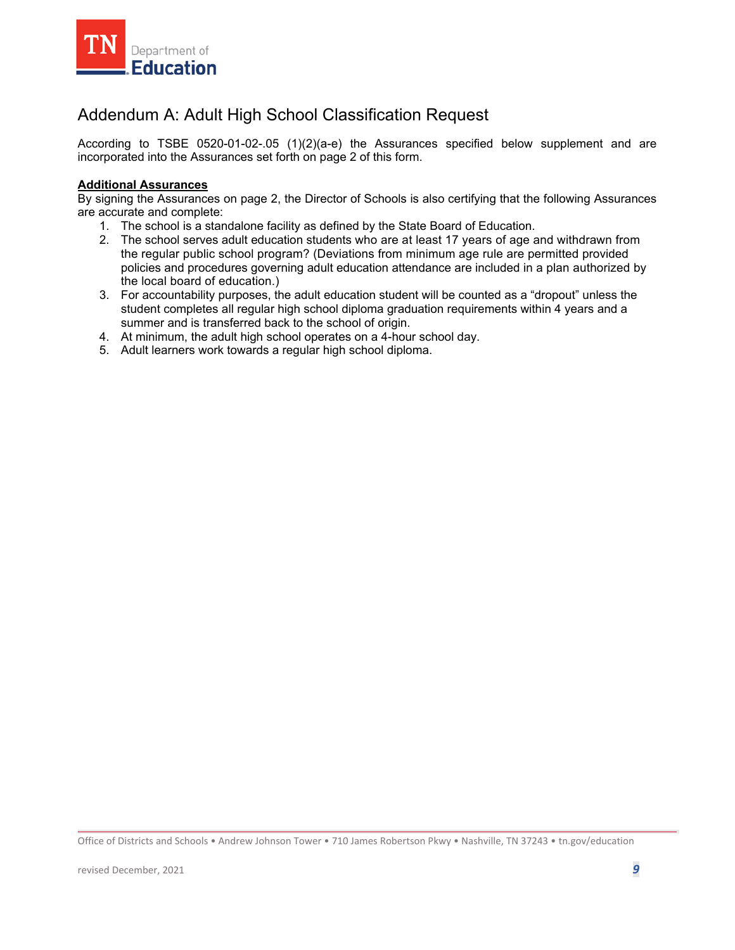<span id="page-8-0"></span>

## Addendum A: Adult High School Classification Request

According to TSBE 0520-01-02-.05 (1)(2)(a-e) the Assurances specified below supplement and are incorporated into the Assurances set forth on page 2 of this form.

#### **Additional Assurances**

By signing the Assurances on page 2, the Director of Schools is also certifying that the following Assurances are accurate and complete:

- 1. The school is a standalone facility as defined by the State Board of Education.
- 2. The school serves adult education students who are at least 17 years of age and withdrawn from the regular public school program? (Deviations from minimum age rule are permitted provided policies and procedures governing adult education attendance are included in a plan authorized by the local board of education.)
- 3. For accountability purposes, the adult education student will be counted as a "dropout" unless the student completes all regular high school diploma graduation requirements within 4 years and a summer and is transferred back to the school of origin.
- 4. At minimum, the adult high school operates on a 4-hour school day.
- 5. Adult learners work towards a regular high school diploma.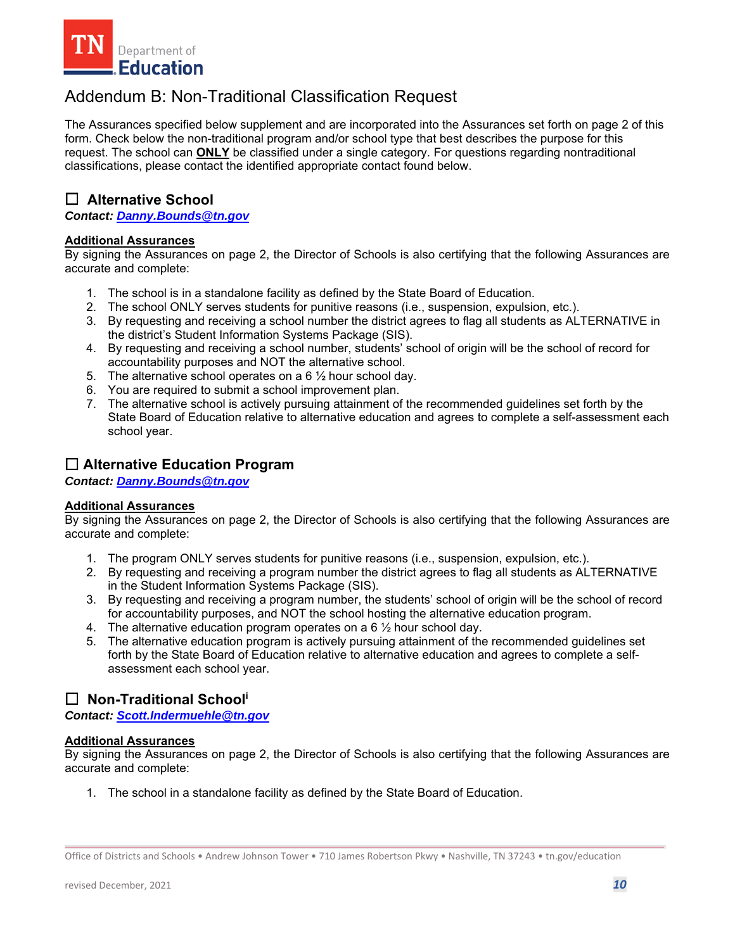<span id="page-9-0"></span>

## Addendum B: Non-Traditional Classification Request

The Assurances specified below supplement and are incorporated into the Assurances set forth on page 2 of this form. Check below the non-traditional program and/or school type that best describes the purpose for this request. The school can **ONLY** be classified under a single category. For questions regarding nontraditional classifications, please contact the identified appropriate contact found below.

### □ Alternative School

*Contact: Danny.Bounds@tn.gov* 

#### **Additional Assurances**

 By signing the Assurances on page 2, the Director of Schools is also certifying that the following Assurances are accurate and complete:

- 1. The school is in a standalone facility as defined by the State Board of Education.
- 2. The school ONLY serves students for punitive reasons (i.e., suspension, expulsion, etc.).
- 3. By requesting and receiving a school number the district agrees to flag all students as ALTERNATIVE in the district's Student Information Systems Package (SIS).
- 4. By requesting and receiving a school number, students' school of origin will be the school of record for accountability purposes and NOT the alternative school.
- 5. The alternative school operates on a  $6\frac{1}{2}$  hour school day.
- 6. You are required to submit a school improvement plan.
- 7. The alternative school is actively pursuing attainment of the recommended guidelines set forth by the State Board of Education relative to alternative education and agrees to complete a self-assessment each school year.

### ☐ **Alternative Education Program**

*Contact: Danny.Bounds@tn.gov* 

#### **Additional Assurances**

 By signing the Assurances on page 2, the Director of Schools is also certifying that the following Assurances are accurate and complete:

- 1. The program ONLY serves students for punitive reasons (i.e., suspension, expulsion, etc.).
- 2. By requesting and receiving a program number the district agrees to flag all students as ALTERNATIVE in the Student Information Systems Package (SIS).
- 3. By requesting and receiving a program number, the students' school of origin will be the school of record for accountability purposes, and NOT the school hosting the alternative education program.
- 4. The alternative education program operates on a  $6\frac{1}{2}$  hour school day.
- 5. The alternative education program is actively pursuing attainment of the recommended guidelines set forth by the State Board of Education relative to alternative education and agrees to complete a selfassessment each school year.

### ☐ **Non-Traditional Schooli**

*Contact: Scott.Indermuehle@tn.gov* 

#### **Additional Assurances**

 By signing the Assurances on page 2, the Director of Schools is also certifying that the following Assurances are accurate and complete:

1. The school in a standalone facility as defined by the State Board of Education.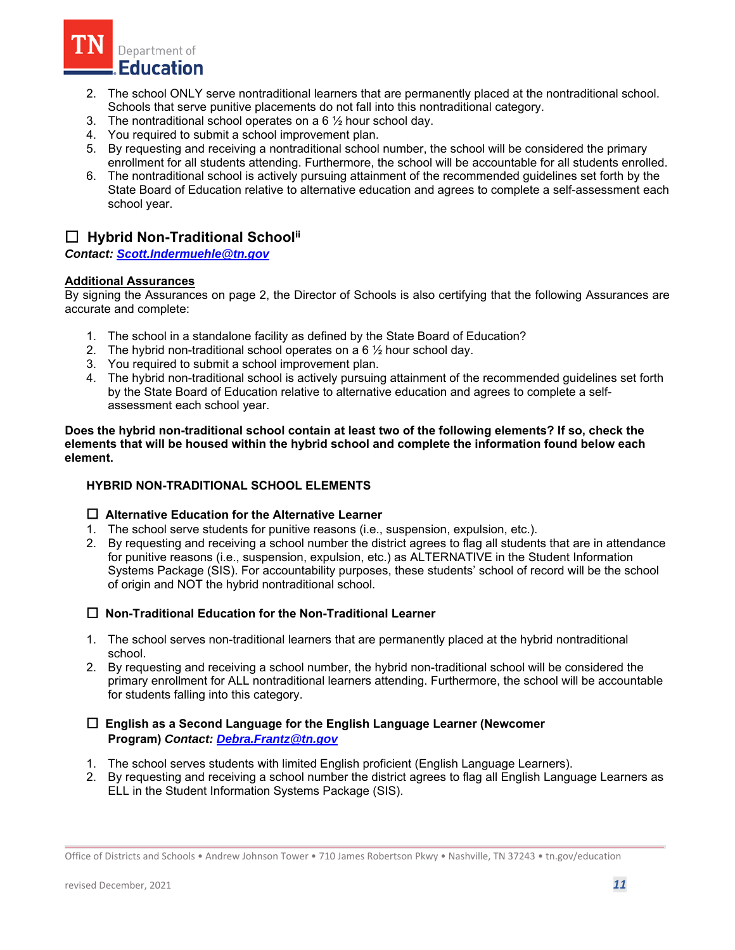

- 2. The school ONLY serve nontraditional learners that are permanently placed at the nontraditional school. Schools that serve punitive placements do not fall into this nontraditional category.
- 3. The nontraditional school operates on a 6 ½ hour school day.<br>4. You required to submit a school improvement plan.
- 
- 5. By requesting and receiving a nontraditional school number, the school will be considered the primary enrollment for all students attending. Furthermore, the school will be accountable for all students enrolled.
- 6. The nontraditional school is actively pursuing attainment of the recommended guidelines set forth by the State Board of Education relative to alternative education and agrees to complete a self-assessment each school year.

### ☐ **Hybrid Non-Traditional Schoolii**

*Contact: Scott.Indermuehle@tn.gov* 

#### **Additional Assurances**

 By signing the Assurances on page 2, the Director of Schools is also certifying that the following Assurances are accurate and complete:

- 1. The school in a standalone facility as defined by the State Board of Education?
- 2. The hybrid non-traditional school operates on a 6  $\frac{1}{2}$  hour school day.
- 3. You required to submit a school improvement plan.
- 4. The hybrid non-traditional school is actively pursuing attainment of the recommended guidelines set forth by the State Board of Education relative to alternative education and agrees to complete a selfassessment each school year.

**Does the hybrid non-traditional school contain at least two of the following elements? If so, check the elements that will be housed within the hybrid school and complete the information found below each element.** 

#### **HYBRID NON-TRADITIONAL SCHOOL ELEMENTS**

#### ☐  **Alternative Education for the Alternative Learner**

- 1. The school serve students for punitive reasons (i.e., suspension, expulsion, etc.).
- 2. By requesting and receiving a school number the district agrees to flag all students that are in attendance for punitive reasons (i.e., suspension, expulsion, etc.) as ALTERNATIVE in the Student Information Systems Package (SIS). For accountability purposes, these students' school of record will be the school of origin and NOT the hybrid nontraditional school.

#### ☐ **Non-Traditional Education for the Non-Traditional Learner**

- 1. The school serves non-traditional learners that are permanently placed at the hybrid nontraditional school.
- 2. By requesting and receiving a school number, the hybrid non-traditional school will be considered the primary enrollment for ALL nontraditional learners attending. Furthermore, the school will be accountable for students falling into this category.

#### ☐ **English as a Second Language for the English Language Learner (Newcomer Program)** *Contact: Debra.Frantz@tn.gov*

- 1. The school serves students with limited English proficient (English Language Learners).
- 2. By requesting and receiving a school number the district agrees to flag all English Language Learners as ELL in the Student Information Systems Package (SIS).

Office of Districts and Schools • Andrew Johnson Tower • 710 James Robertson Pkwy • Nashville, TN 37243 • tn.gov/education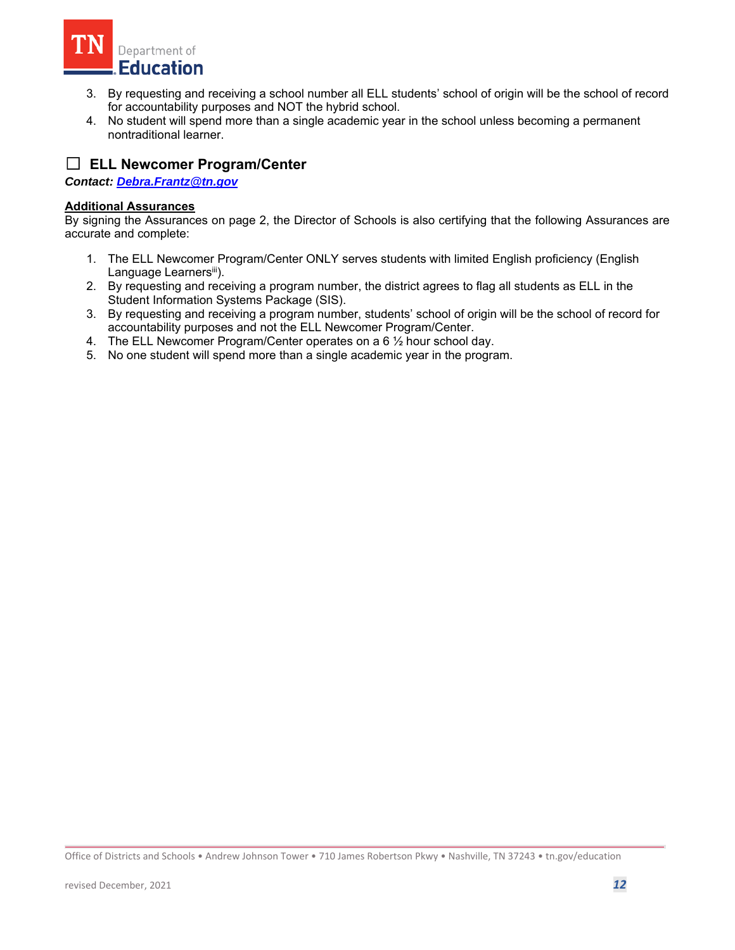

- 3. By requesting and receiving a school number all ELL students' school of origin will be the school of record for accountability purposes and NOT the hybrid school.
- 4. No student will spend more than a single academic year in the school unless becoming a permanent nontraditional learner.

## ☐ **ELL Newcomer Program/Center**

*Contact: Debra.Frantz@tn.gov* 

#### **Additional Assurances**

- 1. The ELL Newcomer Program/Center ONLY serves students with limited English proficiency (English Language Learnersiii).
- 2. By requesting and receiving a program number, the district agrees to flag all students as ELL in the Student Information Systems Package (SIS).
- 3. By requesting and receiving a program number, students' school of origin will be the school of record for accountability purposes and not the ELL Newcomer Program/Center.
- 4. The ELL Newcomer Program/Center operates on a 6 ½ hour school day.
- 5. No one student will spend more than a single academic year in the program.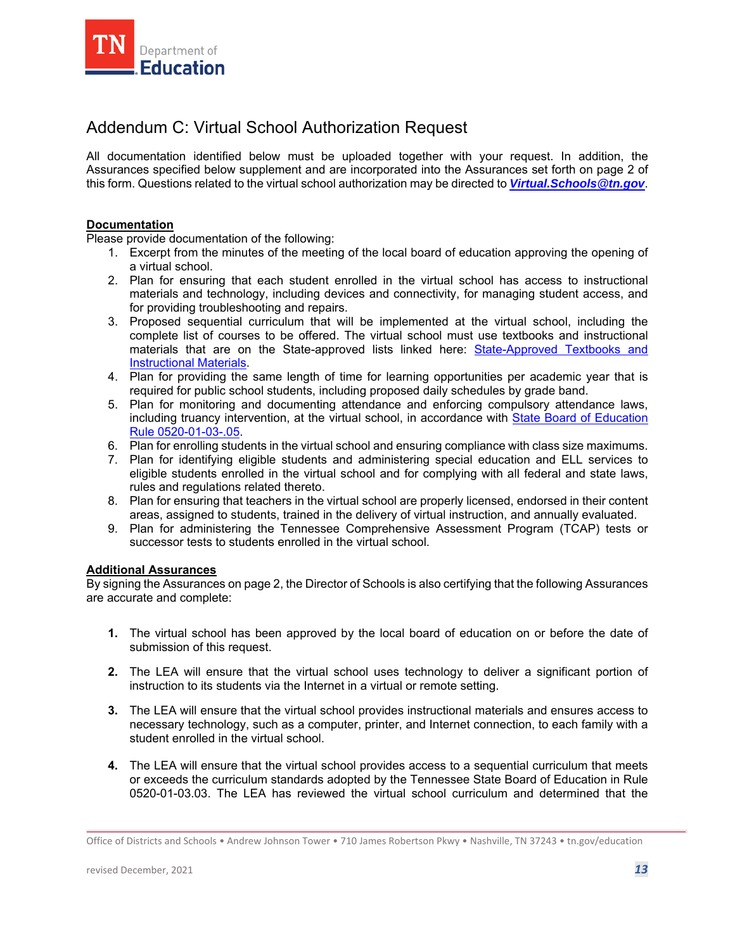<span id="page-12-0"></span>

## Addendum C: Virtual School Authorization Request

 Assurances specified below supplement and are incorporated into the Assurances set forth on page 2 of this form. Questions related to the virtual school authorization may be directed to *Virtual.Schools@tn.gov*. All documentation identified below must be uploaded together with your request. In addition, the

#### **Documentation**

Please provide documentation of the following:

- 1. Excerpt from the minutes of the meeting of the local board of education approving the opening of a virtual school.
- 2. Plan for ensuring that each student enrolled in the virtual school has access to instructional materials and technology, including devices and connectivity, for managing student access, and for providing troubleshooting and repairs.
- 3. Proposed sequential curriculum that will be implemented at the virtual school, including the complete list of courses to be offered. The virtual school must use textbooks and instructional materials that are on the State-approved lists linked here: [State-Approved Textbooks and](https://www.tn.gov/education/textbook-services/textbook-reviews.html)  [Instructional Materials.](https://www.tn.gov/education/textbook-services/textbook-reviews.html)
- 4. Plan for providing the same length of time for learning opportunities per academic year that is required for public school students, including proposed daily schedules by grade band.
- 5. Plan for monitoring and documenting attendance and enforcing compulsory attendance laws, including truancy intervention, at the virtual school, in accordance with [State Board of Education](https://publications.tnsosfiles.com/rules/0520/0520-01/0520-01-03.20210709.pdf)  [Rule](https://publications.tnsosfiles.com/rules/0520/0520-01/0520-01-03.20210709.pdf) 0520-01-03-.05.
- 6. Plan for enrolling students in the virtual school and ensuring compliance with class size maximums.
- 7. Plan for identifying eligible students and administering special education and ELL services to eligible students enrolled in the virtual school and for complying with all federal and state laws, rules and regulations related thereto.
- 8. Plan for ensuring that teachers in the virtual school are properly licensed, endorsed in their content areas, assigned to students, trained in the delivery of virtual instruction, and annually evaluated.
- 9. Plan for administering the Tennessee Comprehensive Assessment Program (TCAP) tests or successor tests to students enrolled in the virtual school.

#### **Additional Assurances**

- **1.** The virtual school has been approved by the local board of education on or before the date of submission of this request.
- **2.** The LEA will ensure that the virtual school uses technology to deliver a significant portion of instruction to its students via the Internet in a virtual or remote setting.
- **3.** The LEA will ensure that the virtual school provides instructional materials and ensures access to necessary technology, such as a computer, printer, and Internet connection, to each family with a student enrolled in the virtual school.
- or exceeds the curriculum standards adopted by the Tennessee State Board of Education in Rule **4.** The LEA will ensure that the virtual school provides access to a sequential curriculum that meets 0520-01-03.03. The LEA has reviewed the virtual school curriculum and determined that the

Office of Districts and Schools • Andrew Johnson Tower • 710 James Robertson Pkwy • Nashville, TN 37243 • tn.gov/education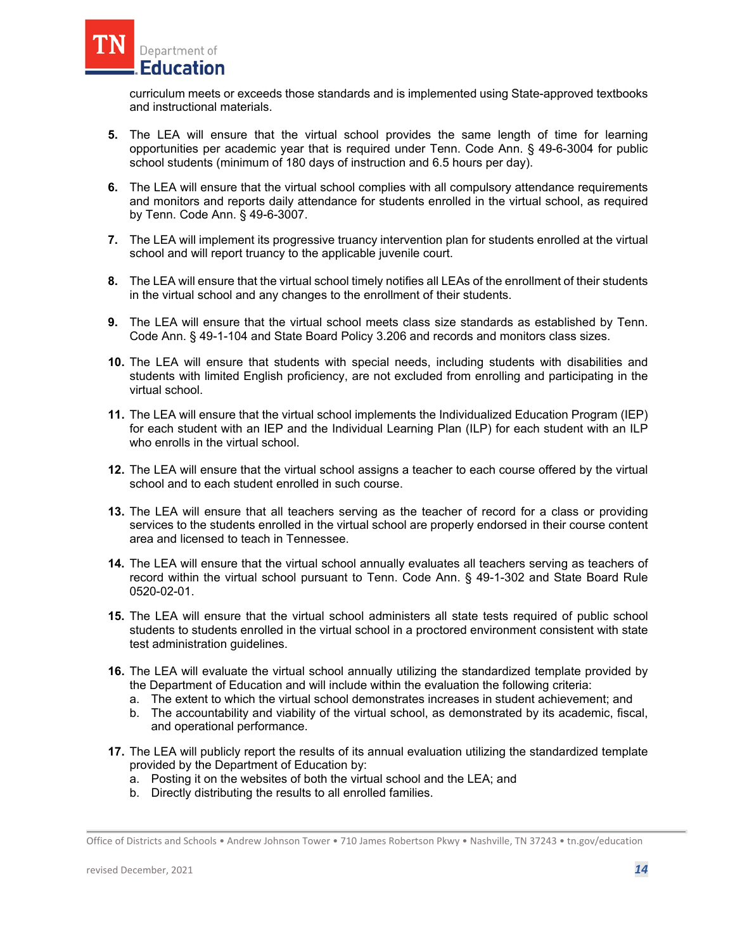

 curriculum meets or exceeds those standards and is implemented using State-approved textbooks and instructional materials.

- opportunities per academic year that is required under Tenn. Code Ann. § 49-6-3004 for public **5.** The LEA will ensure that the virtual school provides the same length of time for learning school students (minimum of 180 days of instruction and 6.5 hours per day).
- **6.** The LEA will ensure that the virtual school complies with all compulsory attendance requirements and monitors and reports daily attendance for students enrolled in the virtual school, as required by Tenn. Code Ann. § 49-6-3007.
- **7.** The LEA will implement its progressive truancy intervention plan for students enrolled at the virtual school and will report truancy to the applicable juvenile court.
- **8.** The LEA will ensure that the virtual school timely notifies all LEAs of the enrollment of their students in the virtual school and any changes to the enrollment of their students.
- **9.** The LEA will ensure that the virtual school meets class size standards as established by Tenn. Code Ann. § 49-1-104 and State Board Policy 3.206 and records and monitors class sizes.
- **10.** The LEA will ensure that students with special needs, including students with disabilities and students with limited English proficiency, are not excluded from enrolling and participating in the virtual school.
- **11.** The LEA will ensure that the virtual school implements the Individualized Education Program (IEP) for each student with an IEP and the Individual Learning Plan (ILP) for each student with an ILP who enrolls in the virtual school.
- **12.** The LEA will ensure that the virtual school assigns a teacher to each course offered by the virtual school and to each student enrolled in such course.
- **13.** The LEA will ensure that all teachers serving as the teacher of record for a class or providing services to the students enrolled in the virtual school are properly endorsed in their course content area and licensed to teach in Tennessee.
- record within the virtual school pursuant to Tenn. Code Ann. § 49-1-302 and State Board Rule **14.** The LEA will ensure that the virtual school annually evaluates all teachers serving as teachers of 0520-02-01.
- **15.** The LEA will ensure that the virtual school administers all state tests required of public school students to students enrolled in the virtual school in a proctored environment consistent with state test administration guidelines.
- **16.** The LEA will evaluate the virtual school annually utilizing the standardized template provided by the Department of Education and will include within the evaluation the following criteria:
	- a. The extent to which the virtual school demonstrates increases in student achievement; and
	- b. The accountability and viability of the virtual school, as demonstrated by its academic, fiscal, and operational performance.
- **17.** The LEA will publicly report the results of its annual evaluation utilizing the standardized template provided by the Department of Education by:
	- a. Posting it on the websites of both the virtual school and the LEA; and
	- b. Directly distributing the results to all enrolled families.

Office of Districts and Schools • Andrew Johnson Tower • 710 James Robertson Pkwy • Nashville, TN 37243 • tn.gov/education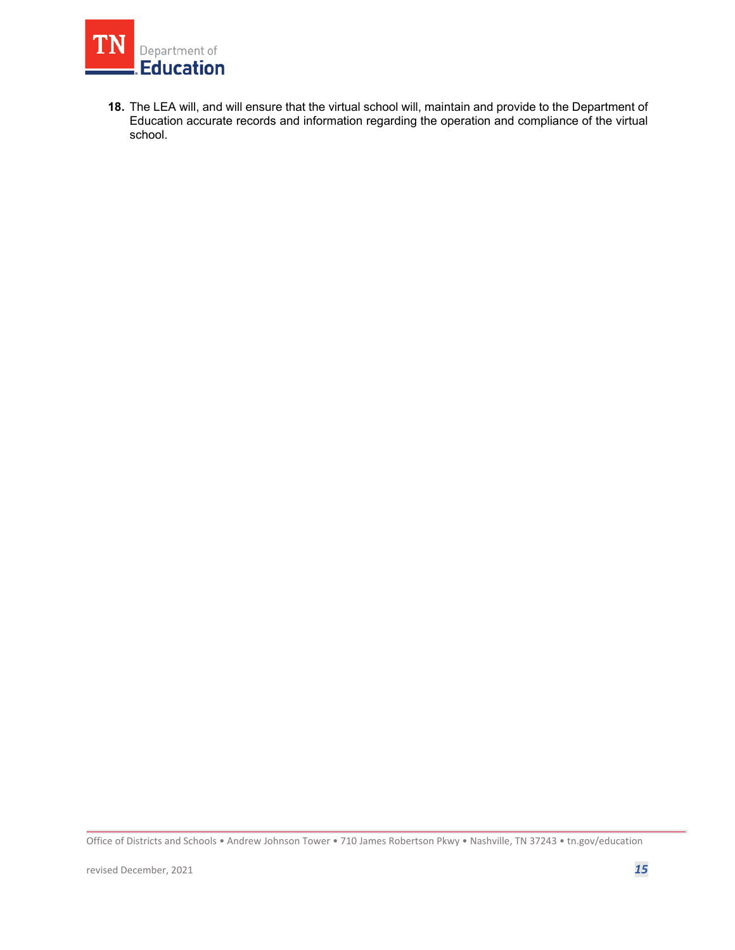

**18.** The LEA will, and will ensure that the virtual school will, maintain and provide to the Department of Education accurate records and information regarding the operation and compliance of the virtual school.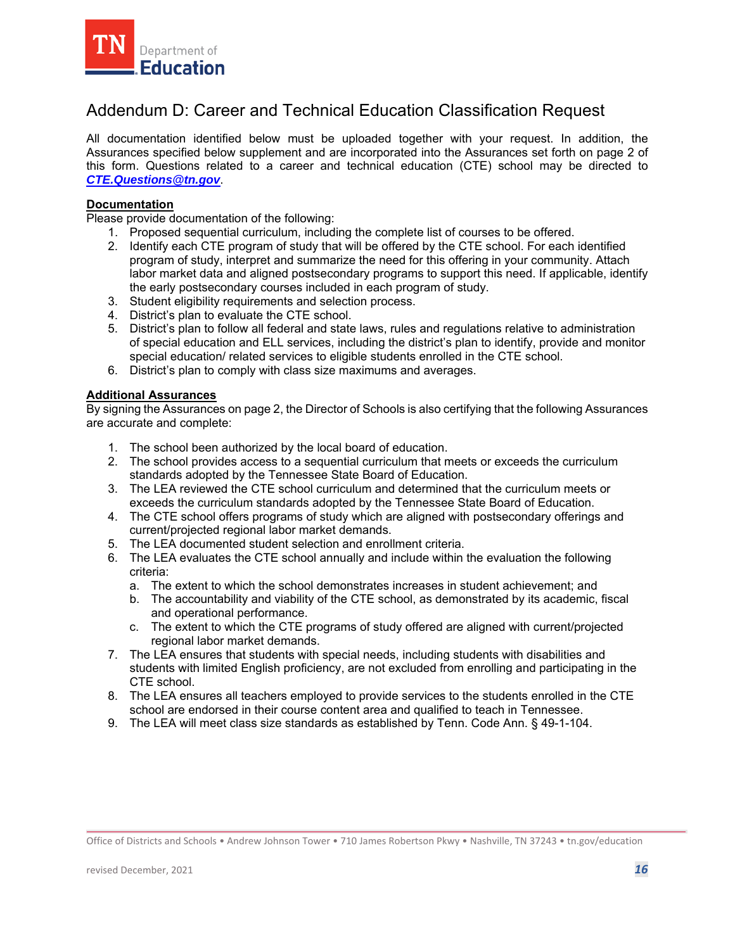<span id="page-15-0"></span>

## Addendum D: Career and Technical Education Classification Request

 Assurances specified below supplement and are incorporated into the Assurances set forth on page 2 of this form. Questions related to a career and technical education (CTE) school may be directed to All documentation identified below must be uploaded together with your request. In addition, the *CTE.Questions@tn.gov*.

#### **Documentation**

Please provide documentation of the following:

- 1. Proposed sequential curriculum, including the complete list of courses to be offered.
- 2. Identify each CTE program of study that will be offered by the CTE school. For each identified program of study, interpret and summarize the need for this offering in your community. Attach labor market data and aligned postsecondary programs to support this need. If applicable, identify the early postsecondary courses included in each program of study.
- 3. Student eligibility requirements and selection process.
- 4. District's plan to evaluate the CTE school.
- 5. District's plan to follow all federal and state laws, rules and regulations relative to administration of special education and ELL services, including the district's plan to identify, provide and monitor special education/ related services to eligible students enrolled in the CTE school.
- 6. District's plan to comply with class size maximums and averages.

#### **Additional Assurances**

- 1. The school been authorized by the local board of education.
- 2. The school provides access to a sequential curriculum that meets or exceeds the curriculum standards adopted by the Tennessee State Board of Education.
- 3. The LEA reviewed the CTE school curriculum and determined that the curriculum meets or exceeds the curriculum standards adopted by the Tennessee State Board of Education.
- 4. The CTE school offers programs of study which are aligned with postsecondary offerings and current/projected regional labor market demands.
- 5. The LEA documented student selection and enrollment criteria.
- 6. The LEA evaluates the CTE school annually and include within the evaluation the following criteria:
	- a. The extent to which the school demonstrates increases in student achievement; and
	- b. The accountability and viability of the CTE school, as demonstrated by its academic, fiscal and operational performance.
	- c. The extent to which the CTE programs of study offered are aligned with current/projected regional labor market demands.
- 7. The LEA ensures that students with special needs, including students with disabilities and students with limited English proficiency, are not excluded from enrolling and participating in the CTE school.
- 8. The LEA ensures all teachers employed to provide services to the students enrolled in the CTE school are endorsed in their course content area and qualified to teach in Tennessee.
- 9. The LEA will meet class size standards as established by Tenn. Code Ann. § 49-1-104.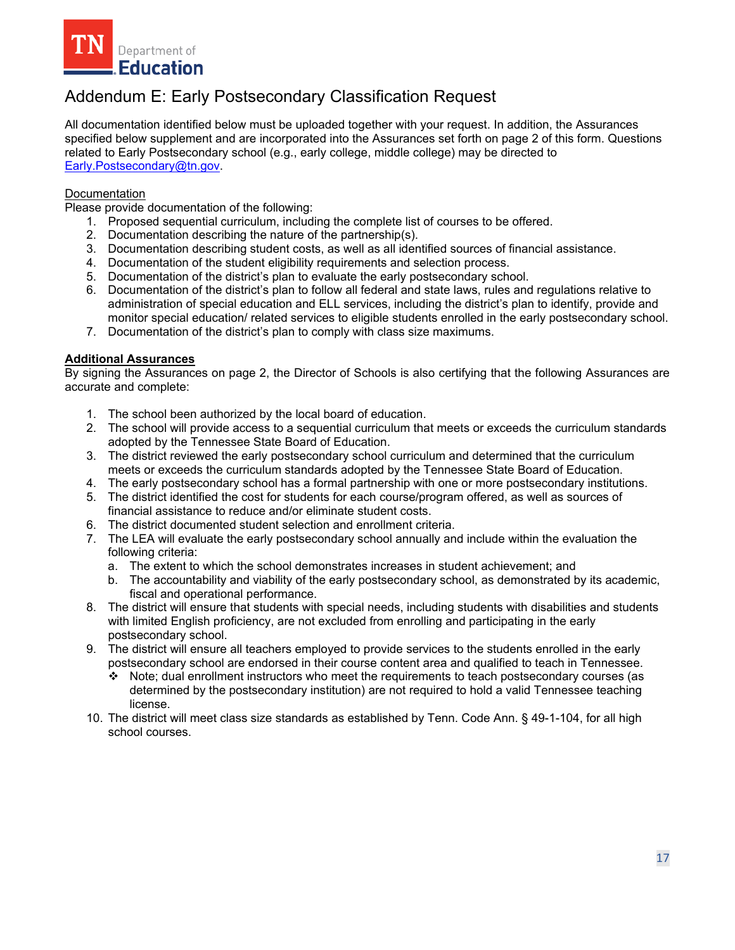<span id="page-16-0"></span>

## Addendum E: Early Postsecondary Classification Request

All documentation identified below must be uploaded together with your request. In addition, the Assurances specified below supplement and are incorporated into the Assurances set forth on page 2 of this form. Questions related to Early Postsecondary school (e.g., early college, middle college) may be directed to Early.Postsecondary@tn.gov.

#### **Documentation**

Please provide documentation of the following:

- 1. Proposed sequential curriculum, including the complete list of courses to be offered.
- 2. Documentation describing the nature of the partnership(s).
- 3. Documentation describing student costs, as well as all identified sources of financial assistance.
- 4. Documentation of the student eligibility requirements and selection process.
- 5. Documentation of the district's plan to evaluate the early postsecondary school.
- 6. Documentation of the district's plan to follow all federal and state laws, rules and regulations relative to administration of special education and ELL services, including the district's plan to identify, provide and monitor special education/ related services to eligible students enrolled in the early postsecondary school.
- 7. Documentation of the district's plan to comply with class size maximums.

#### **Additional Assurances**

- 1. The school been authorized by the local board of education.
- 2. The school will provide access to a sequential curriculum that meets or exceeds the curriculum standards adopted by the Tennessee State Board of Education.
- 3. The district reviewed the early postsecondary school curriculum and determined that the curriculum meets or exceeds the curriculum standards adopted by the Tennessee State Board of Education.
- 4. The early postsecondary school has a formal partnership with one or more postsecondary institutions.
- 5. The district identified the cost for students for each course/program offered, as well as sources of financial assistance to reduce and/or eliminate student costs.
- 6. The district documented student selection and enrollment criteria.
- 7. The LEA will evaluate the early postsecondary school annually and include within the evaluation the following criteria:
	- a. The extent to which the school demonstrates increases in student achievement; and
	- b. The accountability and viability of the early postsecondary school, as demonstrated by its academic, fiscal and operational performance.
- 8. The district will ensure that students with special needs, including students with disabilities and students with limited English proficiency, are not excluded from enrolling and participating in the early postsecondary school.
- 9. The district will ensure all teachers employed to provide services to the students enrolled in the early postsecondary school are endorsed in their course content area and qualified to teach in Tennessee.
	- Note; dual enrollment instructors who meet the requirements to teach postsecondary courses (as determined by the postsecondary institution) are not required to hold a valid Tennessee teaching license.
- 10. The district will meet class size standards as established by Tenn. Code Ann. § 49-1-104, for all high school courses.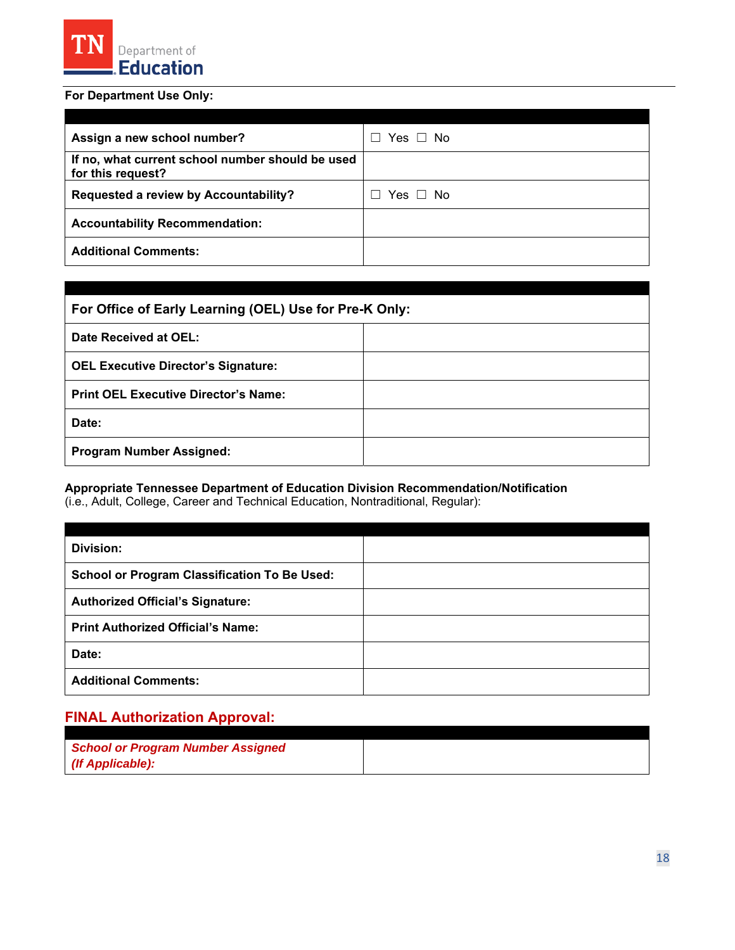

### **For Department Use Only:**

| Assign a new school number?                                           | Yes □ No |
|-----------------------------------------------------------------------|----------|
| If no, what current school number should be used<br>for this request? |          |
| Requested a review by Accountability?                                 | Yes □ No |
| <b>Accountability Recommendation:</b>                                 |          |
| <b>Additional Comments:</b>                                           |          |

| For Office of Early Learning (OEL) Use for Pre-K Only: |  |
|--------------------------------------------------------|--|
| Date Received at OEL:                                  |  |
| <b>OEL Executive Director's Signature:</b>             |  |
| <b>Print OEL Executive Director's Name:</b>            |  |
| Date:                                                  |  |
| <b>Program Number Assigned:</b>                        |  |

#### **Appropriate Tennessee Department of Education Division Recommendation/Notification**

(i.e., Adult, College, Career and Technical Education, Nontraditional, Regular):

| Division:                                           |  |
|-----------------------------------------------------|--|
| <b>School or Program Classification To Be Used:</b> |  |
| <b>Authorized Official's Signature:</b>             |  |
| <b>Print Authorized Official's Name:</b>            |  |
| Date:                                               |  |
| <b>Additional Comments:</b>                         |  |

## **FINAL Authorization Approval:**

| <b>School or Program Number Assigned</b> |  |
|------------------------------------------|--|
| (If Applicable):                         |  |